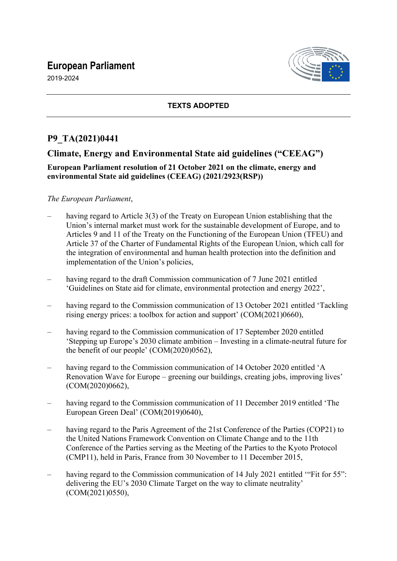# **European Parliament**

2019-2024



### **TEXTS ADOPTED**

## **P9\_TA(2021)0441**

## **Climate, Energy and Environmental State aid guidelines ("CEEAG")**

#### **European Parliament resolution of 21 October 2021 on the climate, energy and environmental State aid guidelines (CEEAG) (2021/2923(RSP))**

#### *The European Parliament*,

- having regard to Article 3(3) of the Treaty on European Union establishing that the Union's internal market must work for the sustainable development of Europe, and to Articles 9 and 11 of the Treaty on the Functioning of the European Union (TFEU) and Article 37 of the Charter of Fundamental Rights of the European Union, which call for the integration of environmental and human health protection into the definition and implementation of the Union's policies,
- having regard to the draft Commission communication of 7 June 2021 entitled 'Guidelines on State aid for climate, environmental protection and energy 2022',
- having regard to the Commission communication of 13 October 2021 entitled 'Tackling rising energy prices: a toolbox for action and support' (COM(2021)0660),
- having regard to the Commission communication of 17 September 2020 entitled 'Stepping up Europe's 2030 climate ambition – Investing in a climate-neutral future for the benefit of our people' (COM(2020)0562),
- having regard to the Commission communication of 14 October 2020 entitled 'A Renovation Wave for Europe – greening our buildings, creating jobs, improving lives' (COM(2020)0662),
- having regard to the Commission communication of 11 December 2019 entitled 'The European Green Deal' (COM(2019)0640),
- having regard to the Paris Agreement of the 21st Conference of the Parties (COP21) to the United Nations Framework Convention on Climate Change and to the 11th Conference of the Parties serving as the Meeting of the Parties to the Kyoto Protocol (CMP11), held in Paris, France from 30 November to 11 December 2015,
- having regard to the Commission communication of 14 July 2021 entitled "Fit for 55": delivering the EU's 2030 Climate Target on the way to climate neutrality' (COM(2021)0550),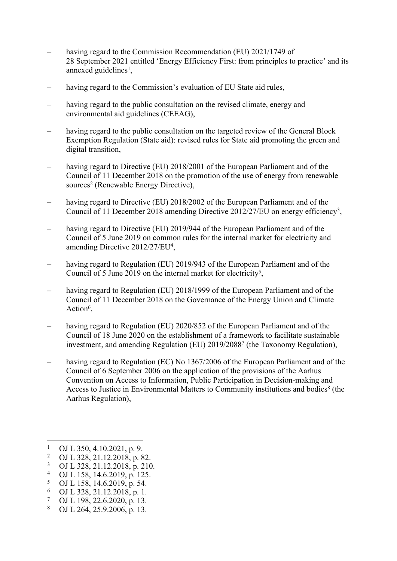- having regard to the Commission Recommendation (EU) 2021/1749 of 28 September 2021 entitled 'Energy Efficiency First: from principles to practice' and its annexed guidelines<sup>1</sup>,
- having regard to the Commission's evaluation of EU State aid rules,
- having regard to the public consultation on the revised climate, energy and environmental aid guidelines (CEEAG),
- having regard to the public consultation on the targeted review of the General Block Exemption Regulation (State aid): revised rules for State aid promoting the green and digital transition,
- having regard to Directive (EU) 2018/2001 of the European Parliament and of the Council of 11 December 2018 on the promotion of the use of energy from renewable sources<sup>2</sup> (Renewable Energy Directive),
- having regard to Directive (EU) 2018/2002 of the European Parliament and of the Council of 11 December 2018 amending Directive 2012/27/EU on energy efficiency<sup>3</sup>,
- having regard to Directive (EU) 2019/944 of the European Parliament and of the Council of 5 June 2019 on common rules for the internal market for electricity and amending Directive 2012/27/EU<sup>4</sup>,
- having regard to Regulation (EU) 2019/943 of the European Parliament and of the Council of 5 June 2019 on the internal market for electricity<sup>5</sup>,
- having regard to Regulation (EU) 2018/1999 of the European Parliament and of the Council of 11 December 2018 on the Governance of the Energy Union and Climate Action<sup>6</sup>,
- having regard to Regulation (EU) 2020/852 of the European Parliament and of the Council of 18 June 2020 on the establishment of a framework to facilitate sustainable investment, and amending Regulation (EU) 2019/2088<sup>7</sup> (the Taxonomy Regulation),
- having regard to Regulation (EC) No 1367/2006 of the European Parliament and of the Council of 6 September 2006 on the application of the provisions of the Aarhus Convention on Access to Information, Public Participation in Decision-making and Access to Justice in Environmental Matters to Community institutions and bodies<sup>8</sup> (the Aarhus Regulation),

- 2 OJ L 328, 21.12.2018, p. 82.
- 3 OJ L 328, 21.12.2018, p. 210.
- 4 OJ L 158, 14.6.2019, p. 125.
- 5 OJ L 158, 14.6.2019, p. 54.
- 6 OJ L 328, 21.12.2018, p. 1.
- 7 OJ L 198, 22.6.2020, p. 13.
- 8 OJ L 264, 25.9.2006, p. 13.

<sup>1</sup> OJ L 350, 4.10.2021, p. 9.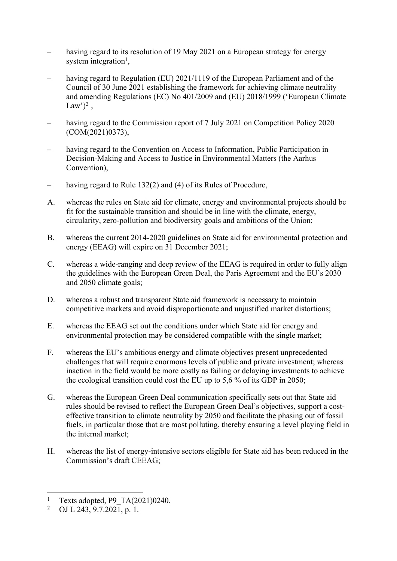- having regard to its resolution of 19 May 2021 on a European strategy for energy system integration<sup>1</sup>,
- having regard to Regulation (EU) 2021/1119 of the European Parliament and of the Council of 30 June 2021 establishing the framework for achieving climate neutrality and amending Regulations (EC) No 401/2009 and (EU) 2018/1999 ('European Climate Law')<sup>2</sup>,
- having regard to the Commission report of 7 July 2021 on Competition Policy 2020 (COM(2021)0373),
- having regard to the Convention on Access to Information, Public Participation in Decision-Making and Access to Justice in Environmental Matters (the Aarhus Convention),
- having regard to Rule 132(2) and (4) of its Rules of Procedure,
- A. whereas the rules on State aid for climate, energy and environmental projects should be fit for the sustainable transition and should be in line with the climate, energy, circularity, zero-pollution and biodiversity goals and ambitions of the Union;
- B. whereas the current 2014-2020 guidelines on State aid for environmental protection and energy (EEAG) will expire on 31 December 2021;
- C. whereas a wide-ranging and deep review of the EEAG is required in order to fully align the guidelines with the European Green Deal, the Paris Agreement and the EU's 2030 and 2050 climate goals;
- D. whereas a robust and transparent State aid framework is necessary to maintain competitive markets and avoid disproportionate and unjustified market distortions;
- E. whereas the EEAG set out the conditions under which State aid for energy and environmental protection may be considered compatible with the single market;
- F. whereas the EU's ambitious energy and climate objectives present unprecedented challenges that will require enormous levels of public and private investment; whereas inaction in the field would be more costly as failing or delaying investments to achieve the ecological transition could cost the EU up to 5,6 % of its GDP in 2050;
- G. whereas the European Green Deal communication specifically sets out that State aid rules should be revised to reflect the European Green Deal's objectives, support a costeffective transition to climate neutrality by 2050 and facilitate the phasing out of fossil fuels, in particular those that are most polluting, thereby ensuring a level playing field in the internal market;
- H. whereas the list of energy-intensive sectors eligible for State aid has been reduced in the Commission's draft CEEAG;

<sup>1</sup> Texts adopted, P9\_TA(2021)0240.

<sup>2</sup> OJ L 243,  $9.7.202\overline{1}$ , p. 1.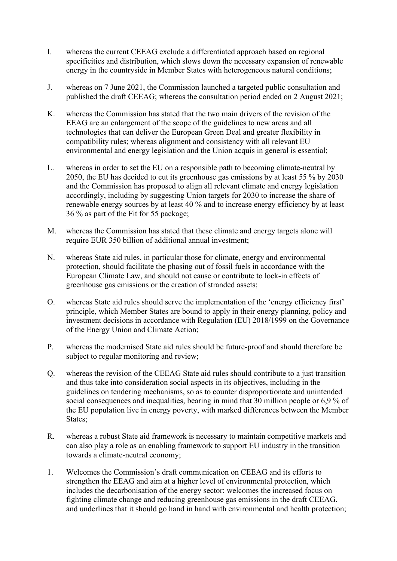- I. whereas the current CEEAG exclude a differentiated approach based on regional specificities and distribution, which slows down the necessary expansion of renewable energy in the countryside in Member States with heterogeneous natural conditions;
- J. whereas on 7 June 2021, the Commission launched a targeted public consultation and published the draft CEEAG; whereas the consultation period ended on 2 August 2021;
- K. whereas the Commission has stated that the two main drivers of the revision of the EEAG are an enlargement of the scope of the guidelines to new areas and all technologies that can deliver the European Green Deal and greater flexibility in compatibility rules; whereas alignment and consistency with all relevant EU environmental and energy legislation and the Union acquis in general is essential;
- L. whereas in order to set the EU on a responsible path to becoming climate-neutral by 2050, the EU has decided to cut its greenhouse gas emissions by at least 55 % by 2030 and the Commission has proposed to align all relevant climate and energy legislation accordingly, including by suggesting Union targets for 2030 to increase the share of renewable energy sources by at least 40 % and to increase energy efficiency by at least 36 % as part of the Fit for 55 package;
- M. whereas the Commission has stated that these climate and energy targets alone will require EUR 350 billion of additional annual investment;
- N. whereas State aid rules, in particular those for climate, energy and environmental protection, should facilitate the phasing out of fossil fuels in accordance with the European Climate Law, and should not cause or contribute to lock-in effects of greenhouse gas emissions or the creation of stranded assets;
- O. whereas State aid rules should serve the implementation of the 'energy efficiency first' principle, which Member States are bound to apply in their energy planning, policy and investment decisions in accordance with Regulation (EU) 2018/1999 on the Governance of the Energy Union and Climate Action;
- P. whereas the modernised State aid rules should be future-proof and should therefore be subject to regular monitoring and review;
- Q. whereas the revision of the CEEAG State aid rules should contribute to a just transition and thus take into consideration social aspects in its objectives, including in the guidelines on tendering mechanisms, so as to counter disproportionate and unintended social consequences and inequalities, bearing in mind that 30 million people or 6,9 % of the EU population live in energy poverty, with marked differences between the Member States;
- R. whereas a robust State aid framework is necessary to maintain competitive markets and can also play a role as an enabling framework to support EU industry in the transition towards a climate-neutral economy;
- 1. Welcomes the Commission's draft communication on CEEAG and its efforts to strengthen the EEAG and aim at a higher level of environmental protection, which includes the decarbonisation of the energy sector; welcomes the increased focus on fighting climate change and reducing greenhouse gas emissions in the draft CEEAG, and underlines that it should go hand in hand with environmental and health protection;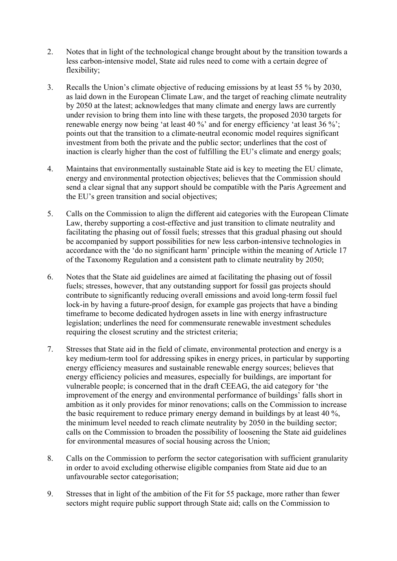- 2. Notes that in light of the technological change brought about by the transition towards a less carbon-intensive model, State aid rules need to come with a certain degree of flexibility;
- 3. Recalls the Union's climate objective of reducing emissions by at least 55 % by 2030, as laid down in the European Climate Law, and the target of reaching climate neutrality by 2050 at the latest; acknowledges that many climate and energy laws are currently under revision to bring them into line with these targets, the proposed 2030 targets for renewable energy now being 'at least 40 %' and for energy efficiency 'at least 36 %'; points out that the transition to a climate-neutral economic model requires significant investment from both the private and the public sector; underlines that the cost of inaction is clearly higher than the cost of fulfilling the EU's climate and energy goals;
- 4. Maintains that environmentally sustainable State aid is key to meeting the EU climate, energy and environmental protection objectives; believes that the Commission should send a clear signal that any support should be compatible with the Paris Agreement and the EU's green transition and social objectives;
- 5. Calls on the Commission to align the different aid categories with the European Climate Law, thereby supporting a cost-effective and just transition to climate neutrality and facilitating the phasing out of fossil fuels; stresses that this gradual phasing out should be accompanied by support possibilities for new less carbon-intensive technologies in accordance with the 'do no significant harm' principle within the meaning of Article 17 of the Taxonomy Regulation and a consistent path to climate neutrality by 2050;
- 6. Notes that the State aid guidelines are aimed at facilitating the phasing out of fossil fuels; stresses, however, that any outstanding support for fossil gas projects should contribute to significantly reducing overall emissions and avoid long-term fossil fuel lock-in by having a future-proof design, for example gas projects that have a binding timeframe to become dedicated hydrogen assets in line with energy infrastructure legislation; underlines the need for commensurate renewable investment schedules requiring the closest scrutiny and the strictest criteria;
- 7. Stresses that State aid in the field of climate, environmental protection and energy is a key medium-term tool for addressing spikes in energy prices, in particular by supporting energy efficiency measures and sustainable renewable energy sources; believes that energy efficiency policies and measures, especially for buildings, are important for vulnerable people; is concerned that in the draft CEEAG, the aid category for 'the improvement of the energy and environmental performance of buildings' falls short in ambition as it only provides for minor renovations; calls on the Commission to increase the basic requirement to reduce primary energy demand in buildings by at least 40 %, the minimum level needed to reach climate neutrality by 2050 in the building sector; calls on the Commission to broaden the possibility of loosening the State aid guidelines for environmental measures of social housing across the Union;
- 8. Calls on the Commission to perform the sector categorisation with sufficient granularity in order to avoid excluding otherwise eligible companies from State aid due to an unfavourable sector categorisation;
- 9. Stresses that in light of the ambition of the Fit for 55 package, more rather than fewer sectors might require public support through State aid; calls on the Commission to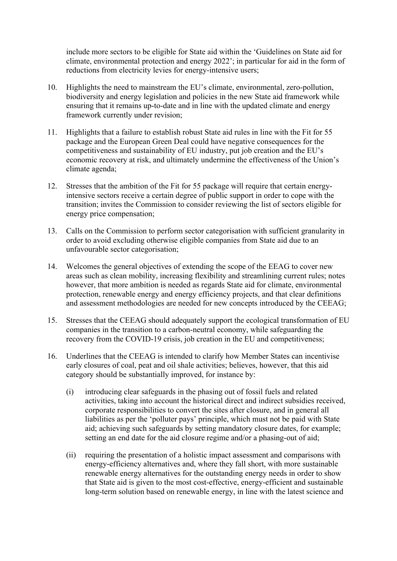include more sectors to be eligible for State aid within the 'Guidelines on State aid for climate, environmental protection and energy 2022'; in particular for aid in the form of reductions from electricity levies for energy-intensive users;

- 10. Highlights the need to mainstream the EU's climate, environmental, zero-pollution, biodiversity and energy legislation and policies in the new State aid framework while ensuring that it remains up-to-date and in line with the updated climate and energy framework currently under revision;
- 11. Highlights that a failure to establish robust State aid rules in line with the Fit for 55 package and the European Green Deal could have negative consequences for the competitiveness and sustainability of EU industry, put job creation and the EU's economic recovery at risk, and ultimately undermine the effectiveness of the Union's climate agenda;
- 12. Stresses that the ambition of the Fit for 55 package will require that certain energyintensive sectors receive a certain degree of public support in order to cope with the transition; invites the Commission to consider reviewing the list of sectors eligible for energy price compensation;
- 13. Calls on the Commission to perform sector categorisation with sufficient granularity in order to avoid excluding otherwise eligible companies from State aid due to an unfavourable sector categorisation;
- 14. Welcomes the general objectives of extending the scope of the EEAG to cover new areas such as clean mobility, increasing flexibility and streamlining current rules; notes however, that more ambition is needed as regards State aid for climate, environmental protection, renewable energy and energy efficiency projects, and that clear definitions and assessment methodologies are needed for new concepts introduced by the CEEAG;
- 15. Stresses that the CEEAG should adequately support the ecological transformation of EU companies in the transition to a carbon-neutral economy, while safeguarding the recovery from the COVID-19 crisis, job creation in the EU and competitiveness;
- 16. Underlines that the CEEAG is intended to clarify how Member States can incentivise early closures of coal, peat and oil shale activities; believes, however, that this aid category should be substantially improved, for instance by:
	- (i) introducing clear safeguards in the phasing out of fossil fuels and related activities, taking into account the historical direct and indirect subsidies received, corporate responsibilities to convert the sites after closure, and in general all liabilities as per the 'polluter pays' principle, which must not be paid with State aid; achieving such safeguards by setting mandatory closure dates, for example; setting an end date for the aid closure regime and/or a phasing-out of aid;
	- (ii) requiring the presentation of a holistic impact assessment and comparisons with energy-efficiency alternatives and, where they fall short, with more sustainable renewable energy alternatives for the outstanding energy needs in order to show that State aid is given to the most cost-effective, energy-efficient and sustainable long-term solution based on renewable energy, in line with the latest science and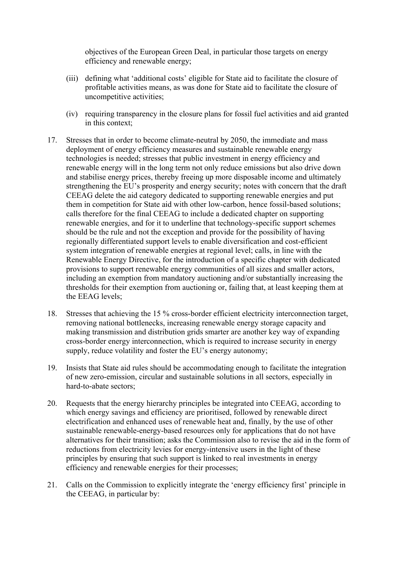objectives of the European Green Deal, in particular those targets on energy efficiency and renewable energy;

- (iii) defining what 'additional costs' eligible for State aid to facilitate the closure of profitable activities means, as was done for State aid to facilitate the closure of uncompetitive activities;
- (iv) requiring transparency in the closure plans for fossil fuel activities and aid granted in this context;
- 17. Stresses that in order to become climate-neutral by 2050, the immediate and mass deployment of energy efficiency measures and sustainable renewable energy technologies is needed; stresses that public investment in energy efficiency and renewable energy will in the long term not only reduce emissions but also drive down and stabilise energy prices, thereby freeing up more disposable income and ultimately strengthening the EU's prosperity and energy security; notes with concern that the draft CEEAG delete the aid category dedicated to supporting renewable energies and put them in competition for State aid with other low-carbon, hence fossil-based solutions; calls therefore for the final CEEAG to include a dedicated chapter on supporting renewable energies, and for it to underline that technology-specific support schemes should be the rule and not the exception and provide for the possibility of having regionally differentiated support levels to enable diversification and cost-efficient system integration of renewable energies at regional level; calls, in line with the Renewable Energy Directive, for the introduction of a specific chapter with dedicated provisions to support renewable energy communities of all sizes and smaller actors, including an exemption from mandatory auctioning and/or substantially increasing the thresholds for their exemption from auctioning or, failing that, at least keeping them at the EEAG levels;
- 18. Stresses that achieving the 15 % cross-border efficient electricity interconnection target, removing national bottlenecks, increasing renewable energy storage capacity and making transmission and distribution grids smarter are another key way of expanding cross-border energy interconnection, which is required to increase security in energy supply, reduce volatility and foster the EU's energy autonomy;
- 19. Insists that State aid rules should be accommodating enough to facilitate the integration of new zero-emission, circular and sustainable solutions in all sectors, especially in hard-to-abate sectors;
- 20. Requests that the energy hierarchy principles be integrated into CEEAG, according to which energy savings and efficiency are prioritised, followed by renewable direct electrification and enhanced uses of renewable heat and, finally, by the use of other sustainable renewable-energy-based resources only for applications that do not have alternatives for their transition; asks the Commission also to revise the aid in the form of reductions from electricity levies for energy-intensive users in the light of these principles by ensuring that such support is linked to real investments in energy efficiency and renewable energies for their processes;
- 21. Calls on the Commission to explicitly integrate the 'energy efficiency first' principle in the CEEAG, in particular by: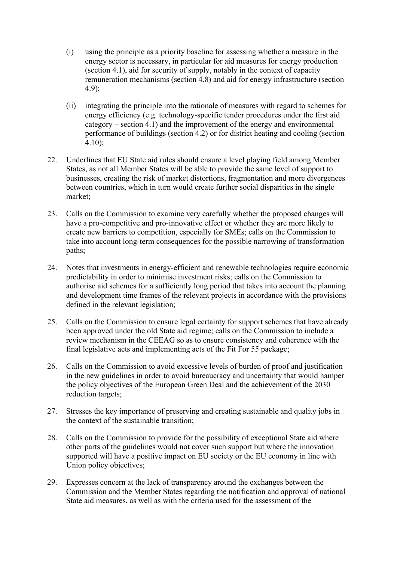- (i) using the principle as a priority baseline for assessing whether a measure in the energy sector is necessary, in particular for aid measures for energy production (section 4.1), aid for security of supply, notably in the context of capacity remuneration mechanisms (section 4.8) and aid for energy infrastructure (section 4.9);
- (ii) integrating the principle into the rationale of measures with regard to schemes for energy efficiency (e.g. technology-specific tender procedures under the first aid category – section 4.1) and the improvement of the energy and environmental performance of buildings (section 4.2) or for district heating and cooling (section 4.10);
- 22. Underlines that EU State aid rules should ensure a level playing field among Member States, as not all Member States will be able to provide the same level of support to businesses, creating the risk of market distortions, fragmentation and more divergences between countries, which in turn would create further social disparities in the single market;
- 23. Calls on the Commission to examine very carefully whether the proposed changes will have a pro-competitive and pro-innovative effect or whether they are more likely to create new barriers to competition, especially for SMEs; calls on the Commission to take into account long-term consequences for the possible narrowing of transformation paths;
- 24. Notes that investments in energy-efficient and renewable technologies require economic predictability in order to minimise investment risks; calls on the Commission to authorise aid schemes for a sufficiently long period that takes into account the planning and development time frames of the relevant projects in accordance with the provisions defined in the relevant legislation;
- 25. Calls on the Commission to ensure legal certainty for support schemes that have already been approved under the old State aid regime; calls on the Commission to include a review mechanism in the CEEAG so as to ensure consistency and coherence with the final legislative acts and implementing acts of the Fit For 55 package;
- 26. Calls on the Commission to avoid excessive levels of burden of proof and justification in the new guidelines in order to avoid bureaucracy and uncertainty that would hamper the policy objectives of the European Green Deal and the achievement of the 2030 reduction targets;
- 27. Stresses the key importance of preserving and creating sustainable and quality jobs in the context of the sustainable transition;
- 28. Calls on the Commission to provide for the possibility of exceptional State aid where other parts of the guidelines would not cover such support but where the innovation supported will have a positive impact on EU society or the EU economy in line with Union policy objectives;
- 29. Expresses concern at the lack of transparency around the exchanges between the Commission and the Member States regarding the notification and approval of national State aid measures, as well as with the criteria used for the assessment of the